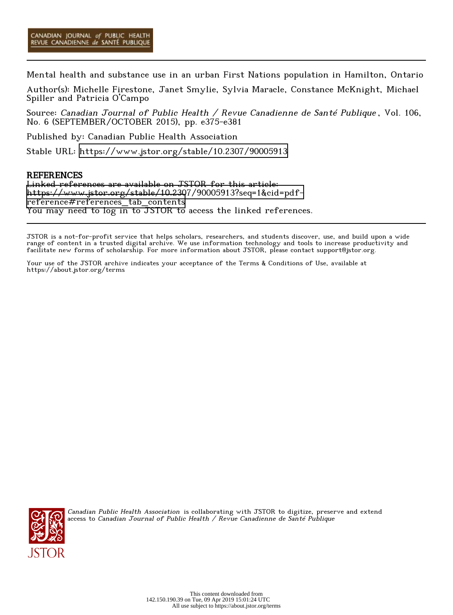Mental health and substance use in an urban First Nations population in Hamilton, Ontario

Author(s): Michelle Firestone, Janet Smylie, Sylvia Maracle, Constance McKnight, Michael Spiller and Patricia O'Campo

Source: Canadian Journal of Public Health / Revue Canadienne de Santé Publique , Vol. 106, No. 6 (SEPTEMBER/OCTOBER 2015), pp. e375-e381

Published by: Canadian Public Health Association

Stable URL:<https://www.jstor.org/stable/10.2307/90005913>

## **REFERENCES**

Linked references are available on JSTOR for this article: [https://www.jstor.org/stable/10.2307/90005913?seq=1&cid=pdf](https://www.jstor.org/stable/10.2307/90005913?seq=1&cid=pdf-reference#references_tab_contents)reference#references tab contents You may need to log in to JSTOR to access the linked references.

JSTOR is a not-for-profit service that helps scholars, researchers, and students discover, use, and build upon a wide range of content in a trusted digital archive. We use information technology and tools to increase productivity and facilitate new forms of scholarship. For more information about JSTOR, please contact support@jstor.org.

Your use of the JSTOR archive indicates your acceptance of the Terms & Conditions of Use, available at https://about.jstor.org/terms



Canadian Public Health Association is collaborating with JSTOR to digitize, preserve and extend access to Canadian Journal of Public Health / Revue Canadienne de Santé Publique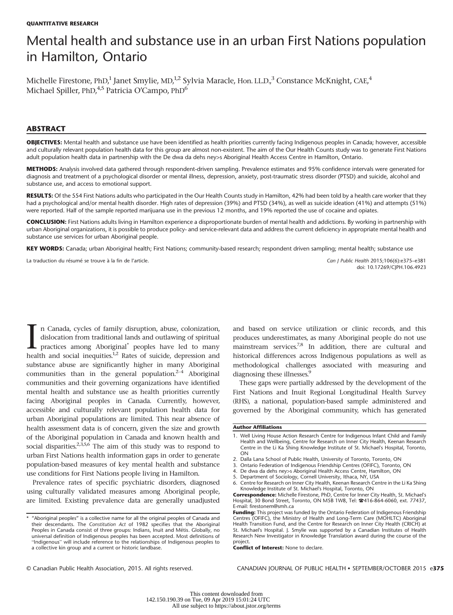# Mental health and substance use in an urban First Nations population in Hamilton, Ontario

Michelle Firestone, PhD, $^1$  Janet Smylie, MD, $^{1,2}$  Sylvia Maracle, Hon. LL.D., $^3$  Constance McKnight, CAE, $^4$ Michael Spiller, PhD,<sup>4,5</sup> Patricia O'Campo, PhD<sup>6</sup>

## ABSTRACT

OBJECTIVES: Mental health and substance use have been identified as health priorities currently facing Indigenous peoples in Canada; however, accessible and culturally relevant population health data for this group are almost non-existent. The aim of the Our Health Counts study was to generate First Nations adult population health data in partnership with the De dwa da dehs ney>s Aboriginal Health Access Centre in Hamilton, Ontario.

METHODS: Analysis involved data gathered through respondent-driven sampling. Prevalence estimates and 95% confidence intervals were generated for diagnosis and treatment of a psychological disorder or mental illness, depression, anxiety, post-traumatic stress disorder (PTSD) and suicide, alcohol and substance use, and access to emotional support.

RESULTS: Of the 554 First Nations adults who participated in the Our Health Counts study in Hamilton, 42% had been told by a health care worker that they had a psychological and/or mental health disorder. High rates of depression (39%) and PTSD (34%), as well as suicide ideation (41%) and attempts (51%) were reported. Half of the sample reported marijuana use in the previous 12 months, and 19% reported the use of cocaine and opiates.

CONCLUSION: First Nations adults living in Hamilton experience a disproportionate burden of mental health and addictions. By working in partnership with urban Aboriginal organizations, it is possible to produce policy- and service-relevant data and address the current deficiency in appropriate mental health and substance use services for urban Aboriginal people.

KEY WORDS: Canada; urban Aboriginal health; First Nations; community-based research; respondent driven sampling; mental health; substance use

La traduction du résumé se trouve à la fin de l'article. Can J Public Health 2015;106(6):e375–e381

doi: [10.17269/CJPH.106.4923](http://dx.doi.org/10.17269/CJPH.106.4923)

In Canada, cycles of family disruption, abuse, colonization, dislocation from traditional lands and outlawing of spiritual practices among Aboriginal<sup>\*</sup> peoples have led to many health and social inequities.<sup>1,2</sup> Rates of n Canada, cycles of family disruption, abuse, colonization, dislocation from traditional lands and outlawing of spiritual practices among Aboriginal\* peoples have led to many substance abuse are significantly higher in many Aboriginal communities than in the general population. $2-4$  Aboriginal communities and their governing organizations have identified mental health and substance use as health priorities currently facing Aboriginal peoples in Canada. Currently, however, accessible and culturally relevant population health data for urban Aboriginal populations are limited. This near absence of health assessment data is of concern, given the size and growth of the Aboriginal population in Canada and known health and social disparities.<sup>2,3,5,6</sup> The aim of this study was to respond to urban First Nations health information gaps in order to generate population-based measures of key mental health and substance use conditions for First Nations people living in Hamilton.

Prevalence rates of specific psychiatric disorders, diagnosed using culturally validated measures among Aboriginal people, are limited. Existing prevalence data are generally unadjusted

and based on service utilization or clinic records, and this produces underestimates, as many Aboriginal people do not use mainstream services.<sup>7,8</sup> In addition, there are cultural and historical differences across Indigenous populations as well as methodological challenges associated with measuring and diagnosing these illnesses.<sup>9</sup>

These gaps were partially addressed by the development of the First Nations and Inuit Regional Longitudinal Health Survey (RHS), a national, population-based sample administered and governed by the Aboriginal community, which has generated

## Author Affiliations

- 1. Well Living House Action Research Centre for Indigenous Infant Child and Family Health and Wellbeing, Centre for Research on Inner City Health, Keenan Research Centre in the Li Ka Shing Knowledge Institute of St. Michael's Hospital, Toronto, ON
- 2. Dalla Lana School of Public Health, University of Toronto, Toronto, ON
- 3. Ontario Federation of Indigenous Friendship Centres (OFIFC), Toronto, ON<br>4. De dwa da dehs ney>s Aboriginal Health Access Centre, Hamilton, ON
- 4. De dwa da dehs ney>s Aboriginal Health Access Centre, Hamilton, ON<br>5. Department of Sociology, Cornell University, Ithaca, NY USA
- 5. Department of Sociology, Cornell University, Ithaca, NY, USA
- 6. Centre for Research on Inner City Health, Keenan Research Centre in the Li Ka Shing

Conflict of Interest: None to declare.

© Canadian Public Health Association, 2015. All rights reserved. CANADIAN JOURNAL OF PUBLIC HEALTH . SEPTEMBER/OCTOBER 2015 e375

<sup>\*</sup> "Aboriginal peoples" is a collective name for all the original peoples of Canada and their descendants. The Constitution Act of 1982 specifies that the Aboriginal Peoples in Canada consist of three groups: Indians, Inuit and Métis. Globally, no universal definition of Indigenous peoples has been accepted. Most definitions of "Indigenous" will include reference to the relationships of Indigenous peoples to a collective kin group and a current or historic landbase.

Knowledge Institute of St. Michael's Hospital, Toronto, ON<br>Correspondence: Michelle Firestone, PhD, Centre for Inner City Health, St. Michael's Hospital, 30 Bond Street, Toronto, ON M5B 1W8, Tel: ☎416-864-6060, ext. 77437, E-mail: [firestonem@smh.ca](mailto:firestonem@smh.ca)

Funding: This project was funded by the Ontario Federation of Indigenous Friendship Centres (OFIFC), the Ministry of Health and Long-Term Care (MOHLTC) Aboriginal Health Transition Fund, and the Centre for Research on Inner City Health (CRICH) at St. Michael's Hospital. J. Smylie was supported by a Canadian Institutes of Health Research New Investigator in Knowledge Translation award during the course of the project.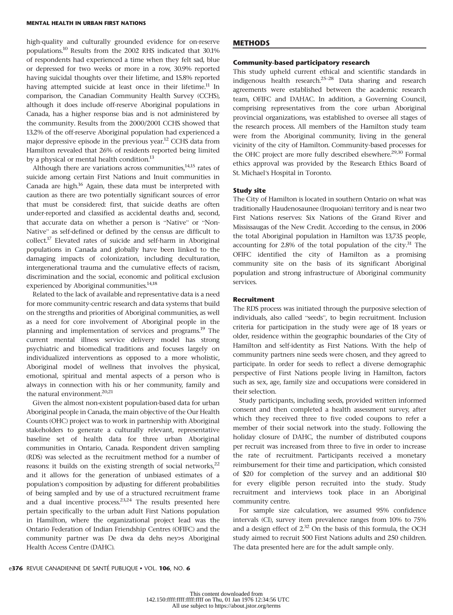#### MENTAL HEALTH IN URBAN FIRST NATIONS

high-quality and culturally grounded evidence for on-reserve populations.<sup>10</sup> Results from the 2002 RHS indicated that 30.1% of respondents had experienced a time when they felt sad, blue or depressed for two weeks or more in a row, 30.9% reported having suicidal thoughts over their lifetime, and 15.8% reported having attempted suicide at least once in their lifetime.<sup>11</sup> In comparison, the Canadian Community Health Survey (CCHS), although it does include off-reserve Aboriginal populations in Canada, has a higher response bias and is not administered by the community. Results from the 2000/2001 CCHS showed that 13.2% of the off-reserve Aboriginal population had experienced a major depressive episode in the previous year.<sup>12</sup> CCHS data from Hamilton revealed that 26% of residents reported being limited by a physical or mental health condition.<sup>13</sup>

Although there are variations across communities. $14,15$  rates of suicide among certain First Nations and Inuit communities in Canada are high.<sup>16</sup> Again, these data must be interpreted with caution as there are two potentially significant sources of error that must be considered: first, that suicide deaths are often under-reported and classified as accidental deaths and, second, that accurate data on whether a person is "Native" or "Non-Native" as self-defined or defined by the census are difficult to collect.17 Elevated rates of suicide and self-harm in Aboriginal populations in Canada and globally have been linked to the damaging impacts of colonization, including deculturation, intergenerational trauma and the cumulative effects of racism, discrimination and the social, economic and political exclusion experienced by Aboriginal communities.<sup>14,18</sup>

Related to the lack of available and representative data is a need for more community-centric research and data systems that build on the strengths and priorities of Aboriginal communities, as well as a need for core involvement of Aboriginal people in the planning and implementation of services and programs.<sup>19</sup> The current mental illness service delivery model has strong psychiatric and biomedical traditions and focuses largely on individualized interventions as opposed to a more wholistic, Aboriginal model of wellness that involves the physical, emotional, spiritual and mental aspects of a person who is always in connection with his or her community, family and the natural environment.<sup>20,21</sup>

Given the almost non-existent population-based data for urban Aboriginal people in Canada, the main objective of the Our Health Counts (OHC) project was to work in partnership with Aboriginal stakeholders to generate a culturally relevant, representative baseline set of health data for three urban Aboriginal communities in Ontario, Canada. Respondent driven sampling (RDS) was selected as the recruitment method for a number of reasons: it builds on the existing strength of social networks, $22$ and it allows for the generation of unbiased estimates of a population's composition by adjusting for different probabilities of being sampled and by use of a structured recruitment frame and a dual incentive process. $23,24$  The results presented here pertain specifically to the urban adult First Nations population in Hamilton, where the organizational project lead was the Ontario Federation of Indian Friendship Centres (OFIFC) and the community partner was De dwa da dehs ney>s Aboriginal Health Access Centre (DAHC).

### **METHODS**

#### Community-based participatory research

This study upheld current ethical and scientific standards in indigenous health research. $25-28$  Data sharing and research agreements were established between the academic research team, OFIFC and DAHAC. In addition, a Governing Council, comprising representatives from the core urban Aboriginal provincial organizations, was established to oversee all stages of the research process. All members of the Hamilton study team were from the Aboriginal community, living in the general vicinity of the city of Hamilton. Community-based processes for the OHC project are more fully described elsewhere.<sup>29,30</sup> Formal ethics approval was provided by the Research Ethics Board of St. Michael's Hospital in Toronto.

## Study site

The City of Hamilton is located in southern Ontario on what was traditionally Haudenosaunee (Iroquoian) territory and is near two First Nations reserves: Six Nations of the Grand River and Mississaugas of the New Credit. According to the census, in 2006 the total Aboriginal population in Hamilton was 13,735 people, accounting for  $2.8\%$  of the total population of the city.<sup>31</sup> The OFIFC identified the city of Hamilton as a promising community site on the basis of its significant Aboriginal population and strong infrastructure of Aboriginal community services.

### Recruitment

The RDS process was initiated through the purposive selection of individuals, also called "seeds", to begin recruitment. Inclusion criteria for participation in the study were age of 18 years or older, residence within the geographic boundaries of the City of Hamilton and self-identity as First Nations. With the help of community partners nine seeds were chosen, and they agreed to participate. In order for seeds to reflect a diverse demographic perspective of First Nations people living in Hamilton, factors such as sex, age, family size and occupations were considered in their selection.

Study participants, including seeds, provided written informed consent and then completed a health assessment survey, after which they received three to five coded coupons to refer a member of their social network into the study. Following the holiday closure of DAHC, the number of distributed coupons per recruit was increased from three to five in order to increase the rate of recruitment. Participants received a monetary reimbursement for their time and participation, which consisted of \$20 for completion of the survey and an additional \$10 for every eligible person recruited into the study. Study recruitment and interviews took place in an Aboriginal community centre.

For sample size calculation, we assumed 95% confidence intervals (CI), survey item prevalence ranges from 10% to 75% and a design effect of 2.<sup>32</sup> On the basis of this formula, the OCH study aimed to recruit 500 First Nations adults and 250 children. The data presented here are for the adult sample only.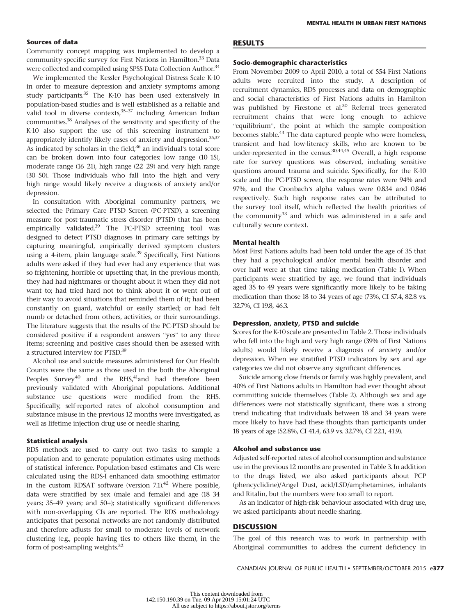#### Sources of data

Community concept mapping was implemented to develop a community-specific survey for First Nations in Hamilton.<sup>33</sup> Data were collected and compiled using SPSS Data Collection Author.<sup>34</sup>

We implemented the Kessler Psychological Distress Scale K-10 in order to measure depression and anxiety symptoms among study participants.<sup>35</sup> The K-10 has been used extensively in population-based studies and is well established as a reliable and valid tool in diverse contexts.<sup>35–37</sup> including American Indian communities.<sup>38</sup> Analyses of the sensitivity and specificity of the K-10 also support the use of this screening instrument to appropriately identify likely cases of anxiety and depression.35,37 As indicated by scholars in the field, $36$  an individual's total score can be broken down into four categories: low range (10–15), moderate range (16–21), high range (22–29) and very high range (30–50). Those individuals who fall into the high and very high range would likely receive a diagnosis of anxiety and/or depression.

In consultation with Aboriginal community partners, we selected the Primary Care PTSD Screen (PC-PTSD), a screening measure for post-traumatic stress disorder (PTSD) that has been empirically validated.<sup>39</sup> The PC-PTSD screening tool was designed to detect PTSD diagnoses in primary care settings by capturing meaningful, empirically derived symptom clusters using a 4-item, plain language scale.<sup>39</sup> Specifically, First Nations adults were asked if they had ever had any experience that was so frightening, horrible or upsetting that, in the previous month, they had had nightmares or thought about it when they did not want to; had tried hard not to think about it or went out of their way to avoid situations that reminded them of it; had been constantly on guard, watchful or easily startled; or had felt numb or detached from others, activities, or their surroundings. The literature suggests that the results of the PC-PTSD should be considered positive if a respondent answers "yes" to any three items; screening and positive cases should then be assessed with a structured interview for PTSD.<sup>39</sup>

Alcohol use and suicide measures administered for Our Health Counts were the same as those used in the both the Aboriginal Peoples Survey<sup>40</sup> and the RHS,<sup>41</sup>and had therefore been previously validated with Aboriginal populations. Additional substance use questions were modified from the RHS. Specifically, self-reported rates of alcohol consumption and substance misuse in the previous 12 months were investigated, as well as lifetime injection drug use or needle sharing.

## Statistical analysis

RDS methods are used to carry out two tasks: to sample a population and to generate population estimates using methods of statistical inference. Population-based estimates and CIs were calculated using the RDS-I enhanced data smoothing estimator in the custom RDSAT software (version  $7.1$ ).<sup>42</sup> Where possible, data were stratified by sex (male and female) and age (18–34 years; 35–49 years; and 50+); statistically significant differences with non-overlapping CIs are reported. The RDS methodology anticipates that personal networks are not randomly distributed and therefore adjusts for small to moderate levels of network clustering (e.g., people having ties to others like them), in the form of post-sampling weights.<sup>32</sup>

#### RESULTS

#### Socio-demographic characteristics

From November 2009 to April 2010, a total of 554 First Nations adults were recruited into the study. A description of recruitment dynamics, RDS processes and data on demographic and social characteristics of First Nations adults in Hamilton was published by Firestone et al.<sup>30</sup> Referral trees generated recruitment chains that were long enough to achieve "equilibrium", the point at which the sample composition becomes stable.<sup>43</sup> The data captured people who were homeless, transient and had low-literacy skills, who are known to be under-represented in the census.<sup>30,44,45</sup> Overall, a high response rate for survey questions was observed, including sensitive questions around trauma and suicide. Specifically, for the K-10 scale and the PC-PTSD screen, the response rates were 94% and 97%, and the Cronbach's alpha values were 0.834 and 0.846 respectively. Such high response rates can be attributed to the survey tool itself, which reflected the health priorities of the community<sup>33</sup> and which was administered in a safe and culturally secure context.

## Mental health

Most First Nations adults had been told under the age of 35 that they had a psychological and/or mental health disorder and over half were at that time taking medication ([Table 1\)](#page-4-0). When participants were stratified by age, we found that individuals aged 35 to 49 years were significantly more likely to be taking medication than those 18 to 34 years of age (73%, CI 57.4, 82.8 vs. 32.7%, CI 19.8, 46.3.

#### Depression, anxiety, PTSD and suicide

Scores for the K-10 scale are presented in [Table 2](#page-4-0). Those individuals who fell into the high and very high range (39% of First Nations adults) would likely receive a diagnosis of anxiety and/or depression. When we stratified PTSD indicators by sex and age categories we did not observe any significant differences.

Suicide among close friends or family was highly prevalent, and 40% of First Nations adults in Hamilton had ever thought about committing suicide themselves ([Table 2\)](#page-4-0). Although sex and age differences were not statistically significant, there was a strong trend indicating that individuals between 18 and 34 years were more likely to have had these thoughts than participants under 18 years of age (52.8%, CI 41.4, 63.9 vs. 32.7%, CI 22.1, 41.9).

## Alcohol and substance use

Adjusted self-reported rates of alcohol consumption and substance use in the previous 12 months are presented in [Table 3](#page-4-0). In addition to the drugs listed, we also asked participants about PCP (phencyclidine)/Angel Dust, acid/LSD/amphetamines, inhalants and Ritalin, but the numbers were too small to report.

As an indicator of high-risk behaviour associated with drug use, we asked participants about needle sharing.

### DISCUSSION

The goal of this research was to work in partnership with Aboriginal communities to address the current deficiency in

CANADIAN JOURNAL OF PUBLIC HEALTH . SEPTEMBER/OCTOBER 2015 e377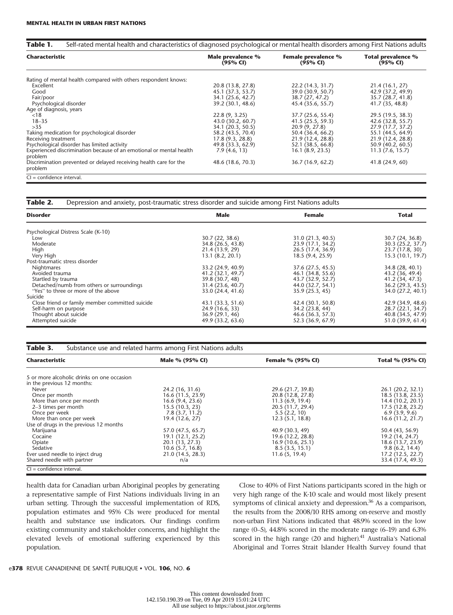<span id="page-4-0"></span>

| Self-rated mental health and characteristics of diagnosed psychological or mental health disorders among First Nations adults<br>Table 1. |                               |                                 |                                  |  |  |
|-------------------------------------------------------------------------------------------------------------------------------------------|-------------------------------|---------------------------------|----------------------------------|--|--|
| <b>Characteristic</b>                                                                                                                     | Male prevalence %<br>(95% CI) | Female prevalence %<br>(95% CI) | Total prevalence %<br>$(95%$ CI) |  |  |
| Rating of mental health compared with others respondent knows:                                                                            |                               |                                 |                                  |  |  |
| Excellent                                                                                                                                 | 20.8 (13.8, 27.8)             | 22.2 (14.3, 31.7)               | 21.4 (16.1, 27)                  |  |  |
| Good                                                                                                                                      | 45.1 (37.3, 53.7)             | 39.0 (30.9, 50.7)               | 42.9 (37.2, 49.9)                |  |  |
| Fair/poor                                                                                                                                 | 34.1 (25.6, 42.7)             | 38.7 (27, 47.2)                 | 35.7 (28.7, 41.8)                |  |  |
| Psychological disorder                                                                                                                    | 39.2 (30.1, 48.6)             | 45.4 (35.6, 55.7)               | 41.7 (35, 48.8)                  |  |  |
| Age of diagnosis, years                                                                                                                   |                               |                                 |                                  |  |  |
| < 18                                                                                                                                      | 22.8(9, 3.25)                 | 37.7 (25.6, 55.4)               | 29.5 (19.5, 38.3)                |  |  |
| $18 - 35$                                                                                                                                 | 43.0 (30.2, 60.7)             | 41.5 (25.5, 59.3)               | 42.6 (32.8, 55.7)                |  |  |
| $>35$                                                                                                                                     | 34.1 (20.3, 50.5)             | 20.9(9, 27.8)                   | 27.9 (17.7, 37.2)                |  |  |
| Taking medication for psychological disorder                                                                                              | 58.2 (43.5, 70.4)             | 50.4 (36.4, 66.2)               | 55.1 (44.5, 64.9)                |  |  |
| Receiving treatment                                                                                                                       | 17.8 (9.3, 28.8)              | 21.9 (12.4, 28.8)               | 21.9 (12.4, 28.8)                |  |  |
| Psychological disorder has limited activity                                                                                               | 49.8 (33.3, 62.9)             | 52.1 (38.5, 66.8)               | 50.9 (40.2, 60.5)                |  |  |
| Experienced discrimination because of an emotional or mental health                                                                       | 7.9(4.6, 13)                  | 16.1(8.9, 23.5)                 | 11.3(7.6, 15.7)                  |  |  |
| problem                                                                                                                                   |                               |                                 |                                  |  |  |
| Discrimination prevented or delayed receiving health care for the                                                                         | 48.6 (18.6, 70.3)             | 36.7 (16.9, 62.2)               | 41.8 (24.9, 60)                  |  |  |
| problem                                                                                                                                   |                               |                                 |                                  |  |  |
| $Cl =$ confidence interval.                                                                                                               |                               |                                 |                                  |  |  |

Table 2. Depression and anxiety, post-traumatic stress disorder and suicide among First Nations adults

| <b>Disorder</b>                                 | <b>Male</b>       | <b>Female</b>     | Total             |
|-------------------------------------------------|-------------------|-------------------|-------------------|
| Psychological Distress Scale (K-10)             |                   |                   |                   |
| Low                                             | 30.7(22, 38.6)    | 31.0 (21.3, 40.5) | 30.7(24, 36.8)    |
| Moderate                                        | 34.8 (26.5, 43.8) | 23.9 (17.1, 34.2) | 30.3 (25.2, 37.7) |
| High                                            | 21.4 (13.9, 29)   | 26.5 (17.4, 36.9) | 23.7 (17.8, 30)   |
| Very High                                       | 13.1 (8.2, 20.1)  | 18.5 (9.4, 25.9)  | 15.3(10.1, 19.7)  |
| Post-traumatic stress disorder                  |                   |                   |                   |
| Nightmares                                      | 33.2 (24.9, 40.9) | 37.6 (27.5, 45.5) | 34.8 (28, 40.1)   |
| Avoided trauma                                  | 41.2 (32.1, 49.7) | 46.1 (34.8, 55.6) | 43.2 (36, 49.4)   |
| Startled by trauma                              | 39.8 (30.7, 48)   | 43.7 (32.9, 52.7) | 41.2 (34, 47.3)   |
| Detached/numb from others or surroundings       | 31.4 (23.6, 40.7) | 44.0 (32.7, 54.1) | 36.2 (29.3, 43.5) |
| "Yes" to three or more of the above             | 33.0 (24.4, 41.6) | 35.9 (25.3, 45)   | 34.0 (27.2, 40.1) |
| Suicide                                         |                   |                   |                   |
| Close friend or family member committed suicide | 43.1 (33.3, 51.6) | 42.4 (30.1, 50.8) | 42.9 (34.9, 48.6) |
| Self-harm on purpose                            | 24.9 (16.6, 33)   | 34.2 (23.8, 44)   | 28.7 (22.1, 34.7) |
| Thought about suicide                           | 36.9 (29.1, 46)   | 46.6 (36.3, 57.3) | 40.8 (34.5, 47.9) |
| Attempted suicide                               | 49.9 (33.2, 63.6) | 52.3 (36.9, 67.9) | 51.0 (39.9, 61.4) |
|                                                 |                   |                   |                   |

| Table 3.<br>Substance use and related harms among First Nations adults |                   |                          |                   |  |  |
|------------------------------------------------------------------------|-------------------|--------------------------|-------------------|--|--|
| <b>Characteristic</b>                                                  | Male % (95% CI)   | <b>Female % (95% CI)</b> | Total % (95% CI)  |  |  |
| 5 or more alcoholic drinks on one occasion                             |                   |                          |                   |  |  |
| in the previous 12 months:<br>Never                                    | 24.2 (16, 31.6)   | 29.6 (21.7, 39.8)        | 26.1 (20.2, 32.1) |  |  |
| Once per month                                                         | 16.6 (11.5, 23.9) | 20.8 (12.8, 27.8)        | 18.5 (13.8, 23.5) |  |  |
| More than once per month                                               | 16.6(9.4, 23.6)   | 11.3(6.9, 19.4)          | 14.4 (10.2, 20.1) |  |  |
| 2-3 times per month                                                    | 15.5 (10.3, 23)   | 20.5 (11.7, 29.4)        | 17.5 (12.8, 23.2) |  |  |
| Once per week                                                          | 7.8(3.7, 11.2)    | 5.5(2.2, 10)             | 6.9(3.9, 9.6)     |  |  |
| More than once per week                                                | 19.4 (12.6, 27)   | 12.3(5.1, 18.8)          | 16.6(11.2, 21.7)  |  |  |
| Use of drugs in the previous 12 months                                 |                   |                          |                   |  |  |
| Marijuana                                                              | 57.0 (47.5, 65.7) | 40.9 (30.3, 49)          | 50.4 (43, 56.9)   |  |  |
| Cocaine                                                                | 19.1(12.1, 25.2)  | 19.6 (12.2, 28.8)        | 19.2 (14, 24.7)   |  |  |
| Opiate                                                                 | 20.1 (13, 27.3)   | 16.9(10.6, 25.1)         | 18.6 (13.7, 23.9) |  |  |
| Sedative                                                               | 10.6(5.7, 16.8)   | 8.5(3.5, 15.1)           | 9.8(6.2, 14.4)    |  |  |
| Ever used needle to inject drug                                        | 21.0 (14.5, 28.3) | 11.6(5, 19.4)            | 17.2 (12.5, 22.7) |  |  |
| Shared needle with partner                                             | n/a               |                          | 33.4 (17.4, 49.3) |  |  |
| $CI = confidence interval.$                                            |                   |                          |                   |  |  |

health data for Canadian urban Aboriginal peoples by generating a representative sample of First Nations individuals living in an urban setting. Through the successful implementation of RDS, population estimates and 95% CIs were produced for mental health and substance use indicators. Our findings confirm existing community and stakeholder concerns, and highlight the elevated levels of emotional suffering experienced by this population.

Close to 40% of First Nations participants scored in the high or very high range of the K-10 scale and would most likely present symptoms of clinical anxiety and depression.<sup>36</sup> As a comparison, the results from the 2008/10 RHS among on-reserve and mostly non-urban First Nations indicated that 48.9% scored in the low range (0–5), 44.8% scored in the moderate range (6–19) and 6.3% scored in the high range (20 and higher). $41$  Australia's National Aboriginal and Torres Strait Islander Health Survey found that

e378 REVUE CANADIENNE DE SANTÉ PUBLIQUE · VOL. 106, NO. 6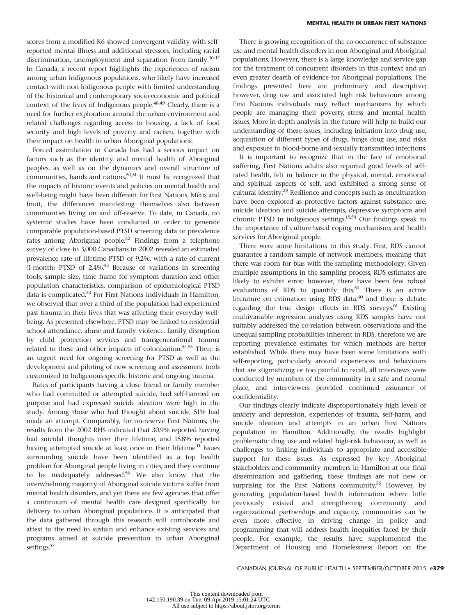scores from a modified K6 showed convergent validity with selfreported mental illness and additional stressors, including racial discrimination, unemployment and separation from family.<sup>46,47</sup> In Canada, a recent report highlights the experiences of racism among urban Indigenous populations, who likely have increased contact with non-Indigenous people with limited understanding of the historical and contemporary socio-economic and political context of the lives of Indigenous people.<sup>48,49</sup> Clearly, there is a need for further exploration around the urban environment and related challenges regarding access to housing, a lack of food security and high levels of poverty and racism, together with their impact on health in urban Aboriginal populations.

Forced assimilation in Canada has had a serious impact on factors such as the identity and mental health of Aboriginal peoples, as well as on the dynamics and overall structure of communities, bands and nations.50,51 It must be recognized that the impacts of historic events and policies on mental health and well-being might have been different for First Nations, Métis and Inuit, the differences manifesting themselves also between communities living on and off-reserve. To date, in Canada, no systemic studies have been conducted in order to generate comparable population-based PTSD screening data or prevalence rates among Aboriginal people.<sup>52</sup> Findings from a telephone survey of close to 3,000 Canadians in 2002 revealed an estimated prevalence rate of lifetime PTSD of 9.2%, with a rate of current  $(1$ -month) PTSD of 2.4%.<sup>53</sup> Because of variations in screening tools, sample size, time frame for symptom duration and other population characteristics, comparison of epidemiological PTSD data is complicated.<sup>53</sup> For First Nations individuals in Hamilton, we observed that over a third of the population had experienced past trauma in their lives that was affecting their everyday wellbeing. As presented elsewhere, PTSD may be linked to residential school attendance, abuse and family violence, family disruption by child protection services and transgenerational trauma related to these and other impacts of colonization.<sup>54,55</sup> There is an urgent need for ongoing screening for PTSD as well as the development and piloting of new screening and assessment tools customized to Indigenous-specific historic and ongoing trauma.

Rates of participants having a close friend or family member who had committed or attempted suicide, had self-harmed on purpose and had expressed suicide ideation were high in the study. Among those who had thought about suicide, 51% had made an attempt. Comparably, for on-reserve First Nations, the results from the 2002 RHS indicated that 30.9% reported having had suicidal thoughts over their lifetime, and 15.8% reported having attempted suicide at least once in their lifetime.<sup>11</sup> Issues surrounding suicide have been identified as a top health problem for Aboriginal people living in cities, and they continue to be inadequately addressed.<sup>56</sup> We also know that the overwhelming majority of Aboriginal suicide victims suffer from mental health disorders, and yet there are few agencies that offer a continuum of mental health care designed specifically for delivery to urban Aboriginal populations. It is anticipated that the data gathered through this research will corroborate and attest to the need to sustain and enhance existing services and programs aimed at suicide prevention in urban Aboriginal settings.<sup>57</sup>

There is growing recognition of the co-occurrence of substance use and mental health disorders in non-Aboriginal and Aboriginal populations. However, there is a large knowledge and service gap for the treatment of concurrent disorders in this context and an even greater dearth of evidence for Aboriginal populations. The findings presented here are preliminary and descriptive; however, drug use and associated high risk behaviours among First Nations individuals may reflect mechanisms by which people are managing their poverty, stress and mental health issues. More in-depth analysis in the future will help to build our understanding of these issues, including initiation into drug use, acquisition of different types of drugs, binge drug use, and risks and exposure to blood-borne and sexually transmitted infections.

It is important to recognize that in the face of emotional suffering, First Nations adults also reported good levels of selfrated health, felt in balance in the physical, mental, emotional and spiritual aspects of self, and exhibited a strong sense of cultural identity.<sup>29</sup> Resilience and concepts such as enculturation have been explored as protective factors against substance use, suicide ideation and suicide attempts, depressive symptoms and chronic PTSD in indigenous settings.15,58 Our findings speak to the importance of culture-based coping mechanisms and health services for Aboriginal people.

There were some limitations to this study. First, RDS cannot guarantee a random sample of network members, meaning that there was room for bias with the sampling methodology. Given multiple assumptions in the sampling process, RDS estimates are likely to exhibit error; however, there have been few robust evaluations of RDS to quantify this.<sup>59</sup> There is an active literature on estimation using RDS data, $60$  and there is debate regarding the true design effects in RDS surveys.<sup>61</sup> Existing multivariable regression analyses using RDS samples have not suitably addressed the co-relation between observations and the unequal sampling probabilities inherent in RDS, therefore we are reporting prevalence estimates for which methods are better established. While there may have been some limitations with self-reporting, particularly around experiences and behaviours that are stigmatizing or too painful to recall, all interviews were conducted by members of the community in a safe and neutral place, and interviewers provided continued assurance of confidentiality.

Our findings clearly indicate disproportionately high levels of anxiety and depression, experiences of trauma, self-harm, and suicide ideation and attempts in an urban First Nations population in Hamilton. Additionally, the results highlight problematic drug use and related high-risk behaviour, as well as challenges to linking individuals to appropriate and accessible support for these issues. As expressed by key Aboriginal stakeholders and community members in Hamilton at our final dissemination and gathering, these findings are not new or surprising for the First Nations community, $56$  However, by generating population-based health information where little previously existed and strengthening community and organizational partnerships and capacity, communities can be even more effective in driving change in policy and programming that will address health inequities faced by their people. For example, the results have supplemented the Department of Housing and Homelessness Report on the

CANADIAN JOURNAL OF PUBLIC HEALTH . SEPTEMBER/OCTOBER 2015 e379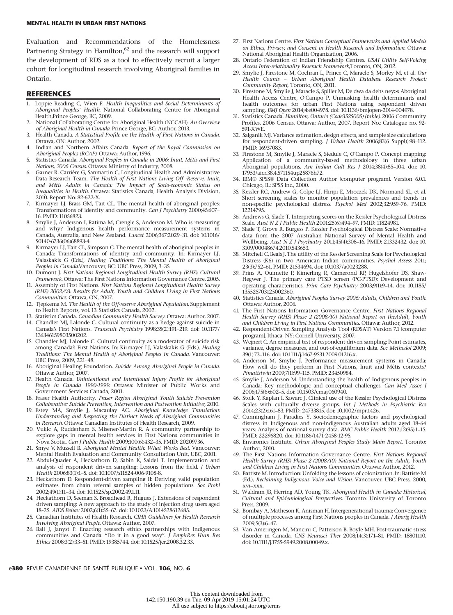#### MENTAL HEALTH IN URBAN FIRST NATIONS

Evaluation and Recommendations of the Homelessness Partnering Strategy in Hamilton,<sup>62</sup> and the research will support the development of RDS as a tool to effectively recruit a larger cohort for longitudinal research involving Aboriginal families in Ontario.

#### **REFERENCES**

- 1. Loppie Reading C, Wien F. Health Inequalities and Social Determinants of Aboriginal Peoples' Health. National Collaborating Centre for Aboriginal Health,Prince George, BC, 2009.
- National Collaborating Centre for Aboriginal Health (NCCAH). An Overview of Aboriginal Health in Canada. Prince George, BC: Author, 2013.
- Health Canada. A Statistical Profile on the Health of First Nations in Canada. Ottawa, ON: Author, 2002.
- 4. Indian and Northern Affairs Canada. Report of the Royal Commission on Aboriginal Peoples (RCAP). Ottawa: Author, 1996.
- Statistics Canada. Aboriginal Peoples in Canada in 2006: Inuit, Métis and First Nations, 2006 Census. Ottawa: Ministry of Industry, 2008.
- 6. Garner R, Carrière G, Sanmartin C, Longitudinal Health and Administrative Data Research Team. The Health of First Nations Living Off -Reserve, Inuit, and Métis Adults in Canada: The Impact of Socio-economic Status on Inequalities in Health. Ottawa: Statistics Canada, Health Analysis Division, 2010. Report No: 82-622-X.
- Kirmayer LJ, Brass GM, Tait CL. The mental health of aboriginal peoples: Transformations of identity and community. Can J Psychiatry 2000;45:607– 16. PMID: 11056823.
- 8. Smylie J, Anderson I, Ratima M, Crengle S, Anderson M. Who is measuring and why? Indigenous health performance measurement systems in Canada, Australia, and New Zealand. Lancet 2006;367:2029–31. doi: [10.1016/](http://dx.doi.org/10.1016/S0140-6736(06)68893-4) [S0140-6736\(06\)68893-4](http://dx.doi.org/10.1016/S0140-6736(06)68893-4).
- 9. Kirmayer LJ, Tait CL, Simpson C. The mental health of aboriginal peoples in Canada: Transformations of identity and community. In: Kirmayer LJ, Valaskakis G (Eds.), Healing Traditions: The Mental Health of Aboriginal Peoples in Canada.Vancouver, BC: UBC Press, 2009, 3–35.
- 10. Dumont J. First Nations Regional Longitudinal Health Survey (RHS): Cultural Framework. Ottawa: The First Nations Information Governance Centre, 2005.
- 11. Assembly of First Nations. First Nations Regional Longitudinal Health Survey (RHS) 2002/03: Results for Adult, Youth and Children Living in First Nations Communities. Ottawa, ON, 2007.
- 12. Tjepkema M. The Health of the Off-reserve Aboriginal Population. Supplement to Health Reports, vol. 13. Statistics Canada, 2002.
- 13. Statistics Canada. Canadian Community Health Survey. Ottawa: Author, 2007. 14. Chandler MJ, Lalonde C. Cultural continuity as a hedge against suicide in Canada's First Nations. Transcult Psychiatry 1998;35(2):191–219. doi: [10.1177/](http://dx.doi.org/10.1177/136346159803500202) [136346159803500202.](http://dx.doi.org/10.1177/136346159803500202)
- 15. Chandler MJ, Lalonde C. Cultural continuity as a moderator of suicide risk among Canada's First Nations. In: Kirmayer LJ, Valaskakis G (Eds.), Healing Traditions: The Mental Health of Aboriginal Peoples in Canada. Vancouver: UBC Press, 2009, 221–48.
- 16. Aboriginal Healing Foundation. Suicide Among Aboriginal People in Canada. Ottawa: Author, 2007.
- 17. Health Canada. Unintentional and Intentional Injury Profile for Aboriginal People in Canada 1990-1999. Ottawa: Minister of Public Works and Government Services Canada, 2001.
- 18. Fraser Health Authority. Fraser Region Aboriginal Youth Suicide Prevention Collaborative: Suicide Prevention, Intervention and Postvention Initiative, 2010.
- 19. Estey MA, Smylie J, Macaulay AC. Aboriginal Knowledge Translation: Understanding and Respecting the Distinct Needs of Aboriginal Communities in Research. Ottawa: Canadian Institutes of Health Research, 2009.
- 20. Vukic A, Rudderham S, Misener-Martin R. A community partnership to explore gaps in mental health services in First Nations communities in Nova Scotia. Can J Public Health 2009;100(6):432–35. PMID: 20209736.
- 21. Smye V, Mussell B. Aboriginal Mental Health: What Works Best. Vancouver: Mental Health Evaluation and Community Consultation Unit, UBC, 2001.
- 22. Abdul-Quader A, Heckathorn D, Sabin K, Saidel T. Implementation and analysis of respondent driven sampling: Lessons from the field. J Urban Health 2006;83(1):1–5. doi: [10.1007/s11524-006-9108-8](http://dx.doi.org/10.1007/s11524-006-9108-8).
- 23. Heckathorn D. Respondent-driven sampling II: Deriving valid population estimates from chain referral samples of hidden populations. Soc Probl 2002;49(1):11–34. doi: [10.1525/sp.2002.49.1.11.](http://dx.doi.org/10.1525/sp.2002.49.1.11)
- 24. Heckathorn D, Seeman S, Broadhead R, Hugues J. Extensions of respondent driven sampling: A new approach to the study of injection drug users aged 18–25. AIDS Behav 2002;6(1):55–67. doi: [10.1023/A:1014528612685](http://dx.doi.org/10.1023/A:1014528612685).
- 25. Canadian Institutes of Health Research. CIHR Guidelines for Health Research Involving Aboriginal People. Ottawa: Author, 2007.
- 26. Ball J, Janyst P. Enacting research ethics partnerships with Indigenous communities and Canada: "Do it in a good way". J EmpirRes Hum Res Ethics 2008;3(2):33–51. PMID: 19385744. doi: [10.1525/jer.2008.3.2.33.](http://dx.doi.org/10.1525/jer.2008.3.2.33)
- 27. First Nations Centre. First Nations Conceptual Frameworks and Applied Models on Ethics, Privacy, and Consent in Health Research and Information. Ottawa: National Aboriginal Health Organization, 2006.
- 28. Ontario Federation of Indian Friendship Centres. USAI Utility Self-Voicing Access Inter-relationality Reserach Framework,Toronto, ON, 2012.
- 29. Smylie J, Firestone M, Cochran L, Prince C, Maracle S, Morley M, et al. Our Health Counts – Urban Aboriginal Health Database Research Project: Community Report, Toronto, ON, 2011.
- 30. Firestone M, Smylie J, Maracle S, Spiller M, De dwa da dehs ney>s Aboriginal Health Access Centre, O'Campo P. Unmasking health determinants and health outcomes for urban First Nations using respondent driven sampling. BMJ Open 2014;4:e004978. doi: [10.1136/bmjopen-2014-004978](http://dx.doi.org/10.1136/bmjopen-2014-004978).
- 31. Statistics Canada. Hamilton, Ontario (Code3525005) (table). 2006 Community Profiles. 2006 Census. Ottawa: Author, 2007. Report No.: Catalogue no. 92- 591-XWE.
- 32. Salganik MJ. Variance estimation, design effects, and sample size calculations for respondent-driven sampling. J Urban Health 2006;83(6 Suppl)):98–112. PMID: 16937083.
- 33. Firestone M, Smylie J, Maracle S, Siedule C, O'Campo P. Concept mapping: Application of a community-based methodology in three urban Aboriginal populations. Am Indian Cult Res J 2014;38(4):85–104. doi: [10.](http://dx.doi.org/10.17953/aicr.38.4.571154up25876h72) [17953/aicr.38.4.571154up25876h72](http://dx.doi.org/10.17953/aicr.38.4.571154up25876h72).
- 34. IBM® SPSS® Data Collection Author [computer program]. Version 6.0.1. Chicago, IL: SPSS Inc., 2000.
- 35. Kessler RC, Andrew G, Colpe LJ, Hiripi E, Mroczek DK, Normand SL, et al. Short screening scales to monitor population prevalences and trends in non-specific psychological distress. Psychol Med 2002;32:959–76. PMID: 12214795.
- 36. Andrews G, Slade T. Interpreting scores on the Kessler Psychological Distress Scale. Aust N Z J Public Health 2001;25(6):494-97. PMID: 11824981.
- 37. Slade T, Grove R, Burgess P. Kessler Psychological Distress Scale: Normative data from the 2007 Australian National Survey of Mental Health and Wellbeing. Aust N Z J Psychiatry 2011;45(4):308–16. PMID: 21332432. doi: [10.](http://dx.doi.org/10.3109/00048674.2010.543653) [3109/00048674.2010.543653.](http://dx.doi.org/10.3109/00048674.2010.543653)
- 38. Mitchell C, Beals J. The utility of the Kessler Screening Scale for Psychological Distress (K6) in two American Indian communities. Psychol Assess 2011; 23(3):752–61. PMID: 21534694. doi: [10.1037/a0023288](http://dx.doi.org/10.1037/a0023288).
- 39. Prins A, Ouimette P, Kimerling R, Camerond RP, Hugelshofer DS, Shaw-Hegwer J. The primary care PTSD screen (PC-PTSD): Development and operating characteristics. Prim Care Psychiatry 2003;9(1):9–14. doi: [10.1185/](http://dx.doi.org/10.1185/135525703125002360) [135525703125002360.](http://dx.doi.org/10.1185/135525703125002360)
- 40. Statistics Canada. Aboriginal Peoples Survey 2006: Adults, Children and Youth. Ottawa: Author, 2006.
- 41. The First Nations Information Governance Centre. First Nations Regional Health Survey (RHS) Phase 2 (2008/10) National Report on theAdult, Youth and Children Living in First Nations Communities. Ottawa: Author, 2012.
- 42. Respondent-Driven Sampling Analysis Tool (RDSAT) Version 7.1 [computer program]. Ithaca, NY: Cornell University, 2007.
- 43. Wejnert C. An empirical test of respondent-driven sampling: Point estimates, variance, degree measures, and out-of-equilibrium data. Soc Methodol 2009; 39(1):73–116. doi: [10.1111/j.1467-9531.2009.01216.x](http://dx.doi.org/10.1111/j.1467-9531.2009.01216.x).
- 44. Anderson M, Smylie J. Performance measurement systems in Canada: How well do they perform in First Nations, Inuit and Métis contexts? Pimatisiwin 2009;7(1):99–115. PMID: 23450984.
- 45. Smylie J, Anderson M. Understanding the health of Indigenous peoples in Canada: Key methodologic and conceptual challenges. Can Med Assoc J 2006;175(6):602–5. doi: [10.1503/cmaj.060940.](http://dx.doi.org/10.1503/cmaj.060940)
- 46. Stolk Y, Kaplan I, Szwarc J. Clinical use of the Kessler Psychological Distress Scales with culturally diverse groups. Int J Methods in Psychiatric Res 2014;23(2):161–83. PMID: 24733815. doi: [10.1002/mpr.1426.](http://dx.doi.org/10.1002/mpr.1426)
- 47. Cunningham J, Paradies Y. Sociodemographic factors and psychological distress in Indigenous and non-Indigenous Australian adults aged 18–64 years: Analysis of national survey data. BMC Public Health 2012;12(95):1-15. PMID: 22296820. doi: [10.1186/1471-2458-12-95.](http://dx.doi.org/10.1186/1471-2458-12-95)
- 48. Environics Institute. Urban Aboriginal Peoples Study Main Report. Toronto: Author, 2010.
- 49. The First Nations Information Governance Centre. First Nations Regional Health Survey (RHS) Phase 2 (2008/10) National Report on the Adult, Youth and Children Living in First Nations Communities. Ottawa: Author, 2012.
- 50. Battiste M. Introduction: Unfolding the lessons of colonization. In: Battiste M (Ed.), Reclaiming Indigenous Voice and Vision. Vancouver: UBC Press, 2000, xvi–xxx.
- 51. Waldram JB, Herring AD, Young TK. Aboriginal Health in Canada: Historical, Cultural and Epidemiological Perspectives. Toronto: University of Toronto Press, 2009.
- 52. Bombay A, Matheson K, Anisman H. Intergenerational trauma: Convergence of multiple processes among First Nations peoples in Canada. J Aborig Health 2009;5(3):6–47.
- 53. Van Ameringen M, Mancini C, Patterson B, Boyle MH. Post-traumatic stress disorder in Canada. CNS Neurosci Ther 2008;14(3):171–81. PMID: 18801110. doi: [10.1111/j.1755-5949.2008.00049.x.](http://dx.doi.org/10.1111/j.1755-5949.2008.00049.x)

e380 REVUE CANADIENNE DE SANTÉ PUBLIQUE . VOL. 106, NO. 6